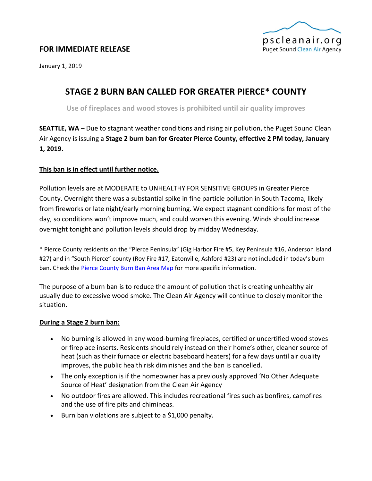

# **FOR IMMEDIATE RELEASE**

January 1, 2019

# **STAGE 2 BURN BAN CALLED FOR GREATER PIERCE\* COUNTY**

**Use of fireplaces and wood stoves is prohibited until air quality improves**

**SEATTLE, WA** – Due to stagnant weather conditions and rising air pollution, the Puget Sound Clean Air Agency is issuing a **Stage 2 burn ban for Greater Pierce County, effective 2 PM today, January 1, 2019.**

## **This ban is in effect until further notice.**

Pollution levels are at MODERATE to UNHEALTHY FOR SENSITIVE GROUPS in Greater Pierce County. Overnight there was a substantial spike in fine particle pollution in South Tacoma, likely from fireworks or late night/early morning burning. We expect stagnant conditions for most of the day, so conditions won't improve much, and could worsen this evening. Winds should increase overnight tonight and pollution levels should drop by midday Wednesday.

\* Pierce County residents on the "Pierce Peninsula" (Gig Harbor Fire #5, Key Peninsula #16, Anderson Island #27) and in "South Pierce" county (Roy Fire #17, Eatonville, Ashford #23) are not included in today's burn ban. Check th[e Pierce County Burn Ban Area Map](https://www.google.com/maps/d/viewer?mid=zmvqFrfm-cro.kweEx2mXIOyE) for more specific information.

The purpose of a burn ban is to reduce the amount of pollution that is creating unhealthy air usually due to excessive wood smoke. The Clean Air Agency will continue to closely monitor the situation.

## **During a Stage 2 burn ban:**

- No burning is allowed in any wood-burning fireplaces, certified or uncertified wood stoves or fireplace inserts. Residents should rely instead on their home's other, cleaner source of heat (such as their furnace or electric baseboard heaters) for a few days until air quality improves, the public health risk diminishes and the ban is cancelled.
- The only exception is if the homeowner has a previously approved 'No Other Adequate Source of Heat' designation from the Clean Air Agency
- No outdoor fires are allowed. This includes recreational fires such as bonfires, campfires and the use of fire pits and chimineas.
- Burn ban violations are subject to a \$1,000 penalty.